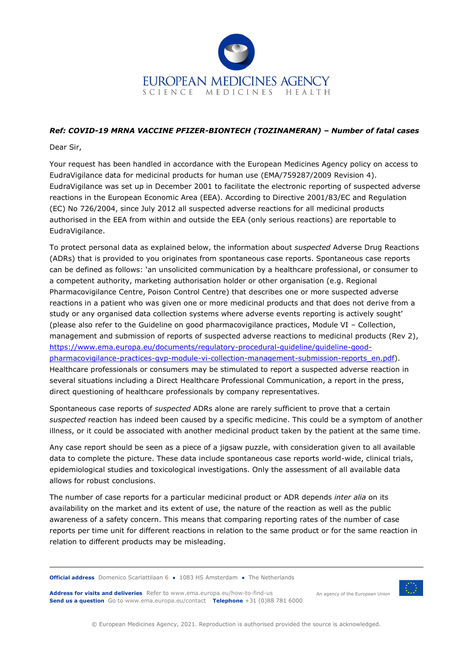

## *Ref: COVID-19 MRNA VACCINE PFIZER-BIONTECH (TOZINAMERAN) – Number of fatal cases*

Dear Sir,

Your request has been handled in accordance with the European Medicines Agency policy on access to EudraVigilance data for medicinal products for human use (EMA/759287/2009 Revision 4). EudraVigilance was set up in December 2001 to facilitate the electronic reporting of suspected adverse reactions in the European Economic Area (EEA). According to Directive 2001/83/EC and Regulation (EC) No 726/2004, since July 2012 all suspected adverse reactions for all medicinal products authorised in the EEA from within and outside the EEA (only serious reactions) are reportable to EudraVigilance.

To protect personal data as explained below, the information about *suspected* Adverse Drug Reactions (ADRs) that is provided to you originates from spontaneous case reports. Spontaneous case reports can be defined as follows: 'an unsolicited communication by a healthcare professional, or consumer to a competent authority, marketing authorisation holder or other organisation (e.g. Regional Pharmacovigilance Centre, Poison Control Centre) that describes one or more suspected adverse reactions in a patient who was given one or more medicinal products and that does not derive from a study or any organised data collection systems where adverse events reporting is actively sought' (please also refer to the Guideline on good pharmacovigilance practices, Module VI – Collection, management and submission of reports of suspected adverse reactions to medicinal products (Rev 2), [https://www.ema.europa.eu/documents/regulatory-procedural-guideline/guideline-good](https://www.ema.europa.eu/documents/regulatory-procedural-guideline/guideline-good-pharmacovigilance-practices-gvp-module-vi-collection-management-submission-reports_en.pdf)[pharmacovigilance-practices-gvp-module-vi-collection-management-submission-reports\\_en.pdf\)](https://www.ema.europa.eu/documents/regulatory-procedural-guideline/guideline-good-pharmacovigilance-practices-gvp-module-vi-collection-management-submission-reports_en.pdf). Healthcare professionals or consumers may be stimulated to report a suspected adverse reaction in several situations including a Direct Healthcare Professional Communication, a report in the press, direct questioning of healthcare professionals by company representatives.

Spontaneous case reports of *suspected* ADRs alone are rarely sufficient to prove that a certain *suspected* reaction has indeed been caused by a specific medicine. This could be a symptom of another illness, or it could be associated with another medicinal product taken by the patient at the same time.

Any case report should be seen as a piece of a jigsaw puzzle, with consideration given to all available data to complete the picture. These data include spontaneous case reports world-wide, clinical trials, epidemiological studies and toxicological investigations. Only the assessment of all available data allows for robust conclusions.

The number of case reports for a particular medicinal product or ADR depends *inter alia* on its availability on the market and its extent of use, the nature of the reaction as well as the public awareness of a safety concern. This means that comparing reporting rates of the number of case reports per time unit for different reactions in relation to the same product or for the same reaction in relation to different products may be misleading.

**Official address** Domenico Scarlattilaan 6 **●** 1083 HS Amsterdam **●** The Netherlands

Address for visits and deliveries Refer to www.ema.europa.eu/how-to-find-us An agency of the European Union **Send us a question** Go to www.ema.europa.eu/contact **Telephone** +31 (0)88 781 6000



© European Medicines Agency, 2021. Reproduction is authorised provided the source is acknowledged.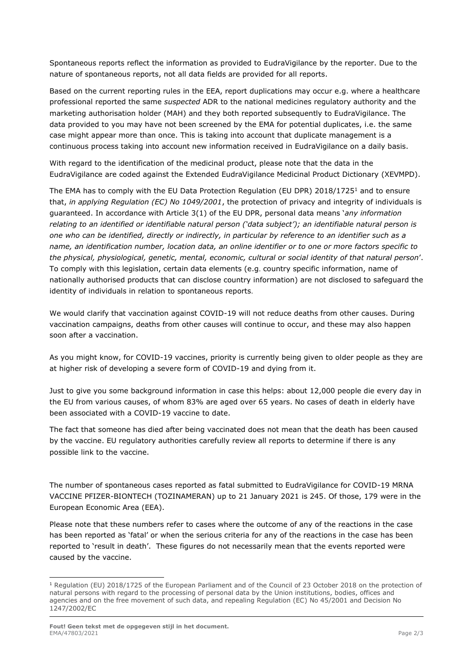Spontaneous reports reflect the information as provided to EudraVigilance by the reporter. Due to the nature of spontaneous reports, not all data fields are provided for all reports.

Based on the current reporting rules in the EEA, report duplications may occur e.g. where a healthcare professional reported the same *suspected* ADR to the national medicines regulatory authority and the marketing authorisation holder (MAH) and they both reported subsequently to EudraVigilance. The data provided to you may have not been screened by the EMA for potential duplicates, i.e. the same case might appear more than once. This is taking into account that duplicate management is a continuous process taking into account new information received in EudraVigilance on a daily basis.

With regard to the identification of the medicinal product, please note that the data in the EudraVigilance are coded against the Extended EudraVigilance Medicinal Product Dictionary (XEVMPD).

The EMA has to comply with the EU Data Protection Regulation (EU DPR) 2018/1725<sup>1</sup> and to ensure that, *in applying Regulation (EC) No 1049/2001*, the protection of privacy and integrity of individuals is guaranteed. In accordance with Article 3(1) of the EU DPR, personal data means '*any information relating to an identified or identifiable natural person ('data subject'); an identifiable natural person is one who can be identified, directly or indirectly, in particular by reference to an identifier such as a name, an identification number, location data, an online identifier or to one or more factors specific to the physical, physiological, genetic, mental, economic, cultural or social identity of that natural person*'. To comply with this legislation, certain data elements (e.g. country specific information, name of nationally authorised products that can disclose country information) are not disclosed to safeguard the identity of individuals in relation to spontaneous reports.

We would clarify that vaccination against COVID-19 will not reduce deaths from other causes. During vaccination campaigns, deaths from other causes will continue to occur, and these may also happen soon after a vaccination.

As you might know, for COVID-19 vaccines, priority is currently being given to older people as they are at higher risk of developing a severe form of COVID-19 and dying from it.

Just to give you some background information in case this helps: about 12,000 people die every day in the EU from various causes, of whom 83% are aged over 65 years. No cases of death in elderly have been associated with a COVID-19 vaccine to date.

The fact that someone has died after being vaccinated does not mean that the death has been caused by the vaccine. EU regulatory authorities carefully review all reports to determine if there is any possible link to the vaccine.

The number of spontaneous cases reported as fatal submitted to EudraVigilance for COVID-19 MRNA VACCINE PFIZER-BIONTECH (TOZINAMERAN) up to 21 January 2021 is 245. Of those, 179 were in the European Economic Area (EEA).

Please note that these numbers refer to cases where the outcome of any of the reactions in the case has been reported as 'fatal' or when the serious criteria for any of the reactions in the case has been reported to 'result in death'. These figures do not necessarily mean that the events reported were caused by the vaccine.

<sup>1</sup> Regulation (EU) 2018/1725 of the European Parliament and of the Council of 23 October 2018 on the protection of natural persons with regard to the processing of personal data by the Union institutions, bodies, offices and agencies and on the free movement of such data, and repealing Regulation (EC) No 45/2001 and Decision No 1247/2002/EC